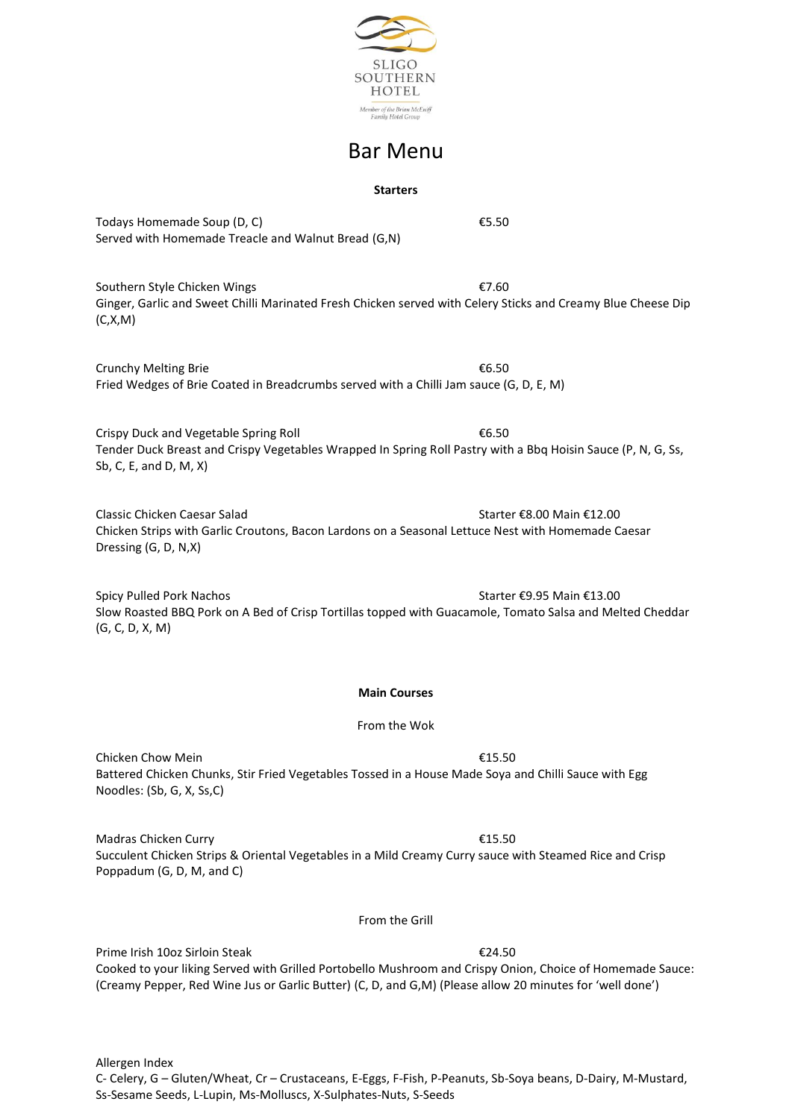

# Bar Menu

## **Starters**

Todays Homemade Soup  $(D, C)$   $E5.50$ Served with Homemade Treacle and Walnut Bread (G,N)

Southern Style Chicken Wings **€7.60** Ginger, Garlic and Sweet Chilli Marinated Fresh Chicken served with Celery Sticks and Creamy Blue Cheese Dip (C,X,M)

Crunchy Melting Brie <del>■</del> <del>€</del>6.50 Fried Wedges of Brie Coated in Breadcrumbs served with a Chilli Jam sauce (G, D, E, M)

Crispy Duck and Vegetable Spring Roll  $6.50$ Tender Duck Breast and Crispy Vegetables Wrapped In Spring Roll Pastry with a Bbq Hoisin Sauce (P, N, G, Ss, Sb, C, E, and D, M, X)

Classic Chicken Caesar Salad Starter €8.00 Main €12.00 Chicken Strips with Garlic Croutons, Bacon Lardons on a Seasonal Lettuce Nest with Homemade Caesar Dressing (G, D, N,X)

Spicy Pulled Pork Nachos Starter €9.95 Main €13.00 Slow Roasted BBQ Pork on A Bed of Crisp Tortillas topped with Guacamole, Tomato Salsa and Melted Cheddar (G, C, D, X, M)

## **Main Courses**

From the Wok

Chicken Chow Mein  $\epsilon$ 15.50 Battered Chicken Chunks, Stir Fried Vegetables Tossed in a House Made Soya and Chilli Sauce with Egg Noodles: (Sb, G, X, Ss,C)

Madras Chicken Curry €15.50 Succulent Chicken Strips & Oriental Vegetables in a Mild Creamy Curry sauce with Steamed Rice and Crisp Poppadum (G, D, M, and C)

From the Grill

Prime Irish 10oz Sirloin Steak €24.50 Cooked to your liking Served with Grilled Portobello Mushroom and Crispy Onion, Choice of Homemade Sauce: (Creamy Pepper, Red Wine Jus or Garlic Butter) (C, D, and G,M) (Please allow 20 minutes for 'well done')

Allergen Index C- Celery, G – Gluten/Wheat, Cr – Crustaceans, E-Eggs, F-Fish, P-Peanuts, Sb-Soya beans, D-Dairy, M-Mustard, Ss-Sesame Seeds, L-Lupin, Ms-Molluscs, X-Sulphates-Nuts, S-Seeds